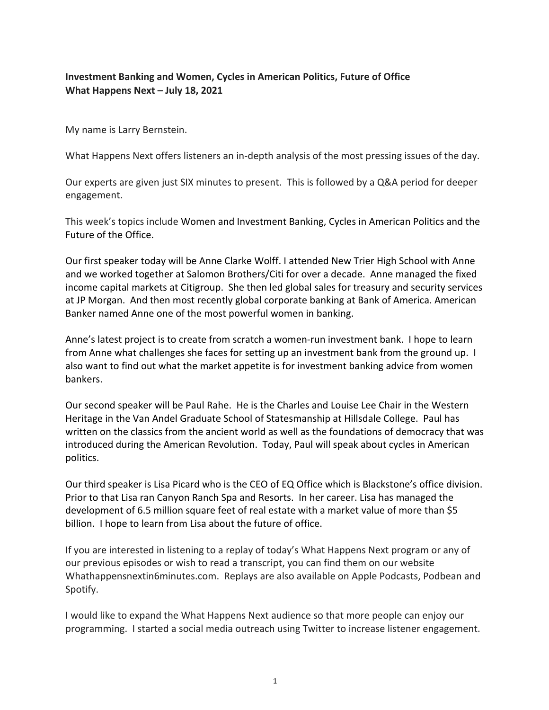# **Investment Banking and Women, Cycles in American Politics, Future of Office What Happens Next – July 18, 2021**

My name is Larry Bernstein.

What Happens Next offers listeners an in-depth analysis of the most pressing issues of the day.

Our experts are given just SIX minutes to present. This is followed by a Q&A period for deeper engagement.

This week's topics include Women and Investment Banking, Cycles in American Politics and the Future of the Office.

Our first speaker today will be Anne Clarke Wolff. I attended New Trier High School with Anne and we worked together at Salomon Brothers/Citi for over a decade. Anne managed the fixed income capital markets at Citigroup. She then led global sales for treasury and security services at JP Morgan. And then most recently global corporate banking at Bank of America. American Banker named Anne one of the most powerful women in banking.

Anne's latest project is to create from scratch a women-run investment bank. I hope to learn from Anne what challenges she faces for setting up an investment bank from the ground up. I also want to find out what the market appetite is for investment banking advice from women bankers.

Our second speaker will be Paul Rahe. He is the Charles and Louise Lee Chair in the Western Heritage in the Van Andel Graduate School of Statesmanship at Hillsdale College. Paul has written on the classics from the ancient world as well as the foundations of democracy that was introduced during the American Revolution. Today, Paul will speak about cycles in American politics.

Our third speaker is Lisa Picard who is the CEO of EQ Office which is Blackstone's office division. Prior to that Lisa ran Canyon Ranch Spa and Resorts. In her career. Lisa has managed the development of 6.5 million square feet of real estate with a market value of more than \$5 billion. I hope to learn from Lisa about the future of office.

If you are interested in listening to a replay of today's What Happens Next program or any of our previous episodes or wish to read a transcript, you can find them on our website Whathappensnextin6minutes.com. Replays are also available on Apple Podcasts, Podbean and Spotify.

I would like to expand the What Happens Next audience so that more people can enjoy our programming. I started a social media outreach using Twitter to increase listener engagement.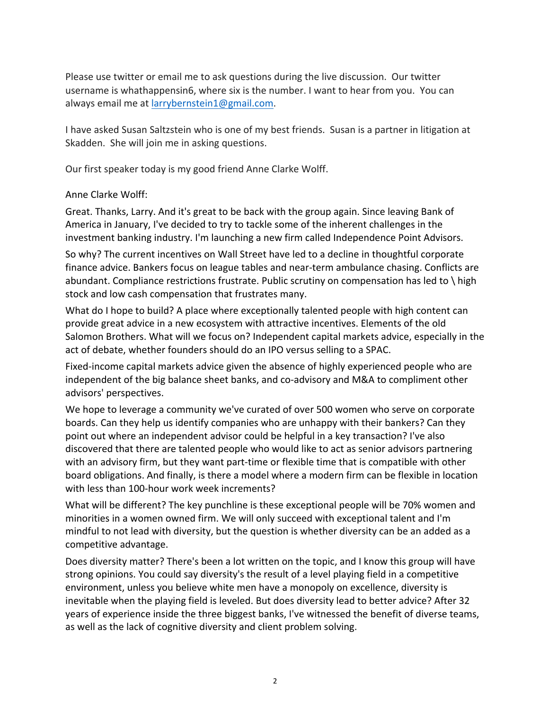Please use twitter or email me to ask questions during the live discussion. Our twitter username is whathappensin6, where six is the number. I want to hear from you. You can always email me at larrybernstein1@gmail.com.

I have asked Susan Saltzstein who is one of my best friends. Susan is a partner in litigation at Skadden. She will join me in asking questions.

Our first speaker today is my good friend Anne Clarke Wolff.

#### Anne Clarke Wolff:

Great. Thanks, Larry. And it's great to be back with the group again. Since leaving Bank of America in January, I've decided to try to tackle some of the inherent challenges in the investment banking industry. I'm launching a new firm called Independence Point Advisors.

So why? The current incentives on Wall Street have led to a decline in thoughtful corporate finance advice. Bankers focus on league tables and near-term ambulance chasing. Conflicts are abundant. Compliance restrictions frustrate. Public scrutiny on compensation has led to \ high stock and low cash compensation that frustrates many.

What do I hope to build? A place where exceptionally talented people with high content can provide great advice in a new ecosystem with attractive incentives. Elements of the old Salomon Brothers. What will we focus on? Independent capital markets advice, especially in the act of debate, whether founders should do an IPO versus selling to a SPAC.

Fixed-income capital markets advice given the absence of highly experienced people who are independent of the big balance sheet banks, and co-advisory and M&A to compliment other advisors' perspectives.

We hope to leverage a community we've curated of over 500 women who serve on corporate boards. Can they help us identify companies who are unhappy with their bankers? Can they point out where an independent advisor could be helpful in a key transaction? I've also discovered that there are talented people who would like to act as senior advisors partnering with an advisory firm, but they want part-time or flexible time that is compatible with other board obligations. And finally, is there a model where a modern firm can be flexible in location with less than 100-hour work week increments?

What will be different? The key punchline is these exceptional people will be 70% women and minorities in a women owned firm. We will only succeed with exceptional talent and I'm mindful to not lead with diversity, but the question is whether diversity can be an added as a competitive advantage.

Does diversity matter? There's been a lot written on the topic, and I know this group will have strong opinions. You could say diversity's the result of a level playing field in a competitive environment, unless you believe white men have a monopoly on excellence, diversity is inevitable when the playing field is leveled. But does diversity lead to better advice? After 32 years of experience inside the three biggest banks, I've witnessed the benefit of diverse teams, as well as the lack of cognitive diversity and client problem solving.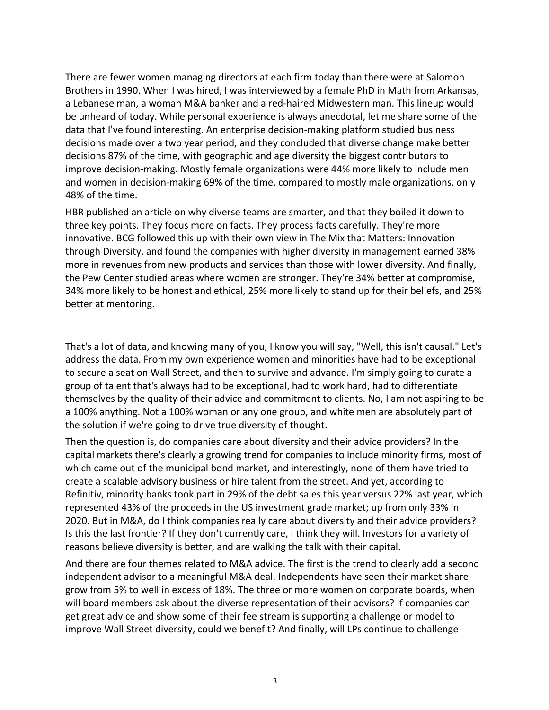There are fewer women managing directors at each firm today than there were at Salomon Brothers in 1990. When I was hired, I was interviewed by a female PhD in Math from Arkansas, a Lebanese man, a woman M&A banker and a red-haired Midwestern man. This lineup would be unheard of today. While personal experience is always anecdotal, let me share some of the data that I've found interesting. An enterprise decision-making platform studied business decisions made over a two year period, and they concluded that diverse change make better decisions 87% of the time, with geographic and age diversity the biggest contributors to improve decision-making. Mostly female organizations were 44% more likely to include men and women in decision-making 69% of the time, compared to mostly male organizations, only 48% of the time.

HBR published an article on why diverse teams are smarter, and that they boiled it down to three key points. They focus more on facts. They process facts carefully. They're more innovative. BCG followed this up with their own view in The Mix that Matters: Innovation through Diversity, and found the companies with higher diversity in management earned 38% more in revenues from new products and services than those with lower diversity. And finally, the Pew Center studied areas where women are stronger. They're 34% better at compromise, 34% more likely to be honest and ethical, 25% more likely to stand up for their beliefs, and 25% better at mentoring.

That's a lot of data, and knowing many of you, I know you will say, "Well, this isn't causal." Let's address the data. From my own experience women and minorities have had to be exceptional to secure a seat on Wall Street, and then to survive and advance. I'm simply going to curate a group of talent that's always had to be exceptional, had to work hard, had to differentiate themselves by the quality of their advice and commitment to clients. No, I am not aspiring to be a 100% anything. Not a 100% woman or any one group, and white men are absolutely part of the solution if we're going to drive true diversity of thought.

Then the question is, do companies care about diversity and their advice providers? In the capital markets there's clearly a growing trend for companies to include minority firms, most of which came out of the municipal bond market, and interestingly, none of them have tried to create a scalable advisory business or hire talent from the street. And yet, according to Refinitiv, minority banks took part in 29% of the debt sales this year versus 22% last year, which represented 43% of the proceeds in the US investment grade market; up from only 33% in 2020. But in M&A, do I think companies really care about diversity and their advice providers? Is this the last frontier? If they don't currently care, I think they will. Investors for a variety of reasons believe diversity is better, and are walking the talk with their capital.

And there are four themes related to M&A advice. The first is the trend to clearly add a second independent advisor to a meaningful M&A deal. Independents have seen their market share grow from 5% to well in excess of 18%. The three or more women on corporate boards, when will board members ask about the diverse representation of their advisors? If companies can get great advice and show some of their fee stream is supporting a challenge or model to improve Wall Street diversity, could we benefit? And finally, will LPs continue to challenge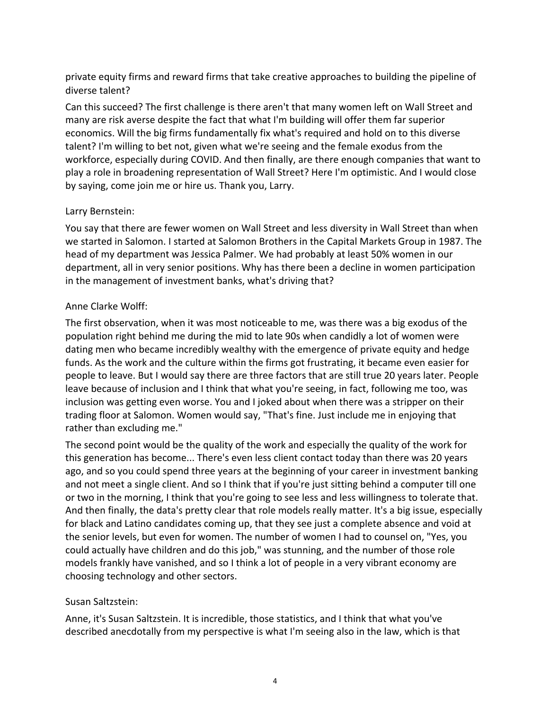private equity firms and reward firms that take creative approaches to building the pipeline of diverse talent?

Can this succeed? The first challenge is there aren't that many women left on Wall Street and many are risk averse despite the fact that what I'm building will offer them far superior economics. Will the big firms fundamentally fix what's required and hold on to this diverse talent? I'm willing to bet not, given what we're seeing and the female exodus from the workforce, especially during COVID. And then finally, are there enough companies that want to play a role in broadening representation of Wall Street? Here I'm optimistic. And I would close by saying, come join me or hire us. Thank you, Larry.

#### Larry Bernstein:

You say that there are fewer women on Wall Street and less diversity in Wall Street than when we started in Salomon. I started at Salomon Brothers in the Capital Markets Group in 1987. The head of my department was Jessica Palmer. We had probably at least 50% women in our department, all in very senior positions. Why has there been a decline in women participation in the management of investment banks, what's driving that?

#### Anne Clarke Wolff:

The first observation, when it was most noticeable to me, was there was a big exodus of the population right behind me during the mid to late 90s when candidly a lot of women were dating men who became incredibly wealthy with the emergence of private equity and hedge funds. As the work and the culture within the firms got frustrating, it became even easier for people to leave. But I would say there are three factors that are still true 20 years later. People leave because of inclusion and I think that what you're seeing, in fact, following me too, was inclusion was getting even worse. You and I joked about when there was a stripper on their trading floor at Salomon. Women would say, "That's fine. Just include me in enjoying that rather than excluding me."

The second point would be the quality of the work and especially the quality of the work for this generation has become... There's even less client contact today than there was 20 years ago, and so you could spend three years at the beginning of your career in investment banking and not meet a single client. And so I think that if you're just sitting behind a computer till one or two in the morning, I think that you're going to see less and less willingness to tolerate that. And then finally, the data's pretty clear that role models really matter. It's a big issue, especially for black and Latino candidates coming up, that they see just a complete absence and void at the senior levels, but even for women. The number of women I had to counsel on, "Yes, you could actually have children and do this job," was stunning, and the number of those role models frankly have vanished, and so I think a lot of people in a very vibrant economy are choosing technology and other sectors.

# Susan Saltzstein:

Anne, it's Susan Saltzstein. It is incredible, those statistics, and I think that what you've described anecdotally from my perspective is what I'm seeing also in the law, which is that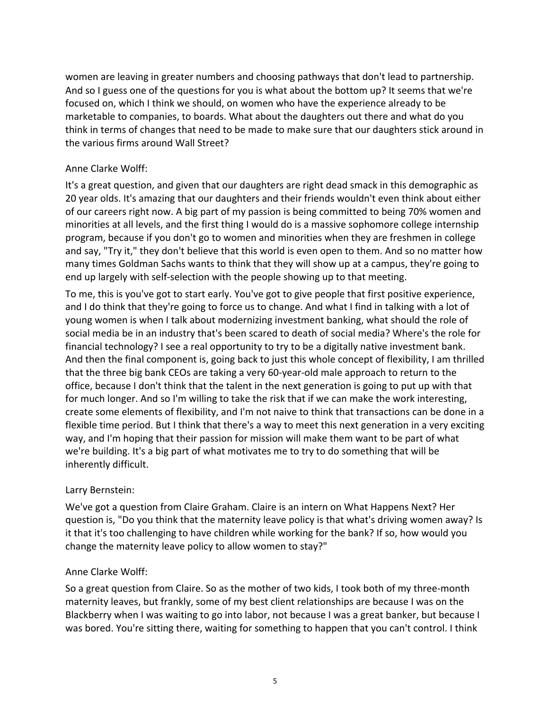women are leaving in greater numbers and choosing pathways that don't lead to partnership. And so I guess one of the questions for you is what about the bottom up? It seems that we're focused on, which I think we should, on women who have the experience already to be marketable to companies, to boards. What about the daughters out there and what do you think in terms of changes that need to be made to make sure that our daughters stick around in the various firms around Wall Street?

# Anne Clarke Wolff:

It's a great question, and given that our daughters are right dead smack in this demographic as 20 year olds. It's amazing that our daughters and their friends wouldn't even think about either of our careers right now. A big part of my passion is being committed to being 70% women and minorities at all levels, and the first thing I would do is a massive sophomore college internship program, because if you don't go to women and minorities when they are freshmen in college and say, "Try it," they don't believe that this world is even open to them. And so no matter how many times Goldman Sachs wants to think that they will show up at a campus, they're going to end up largely with self-selection with the people showing up to that meeting.

To me, this is you've got to start early. You've got to give people that first positive experience, and I do think that they're going to force us to change. And what I find in talking with a lot of young women is when I talk about modernizing investment banking, what should the role of social media be in an industry that's been scared to death of social media? Where's the role for financial technology? I see a real opportunity to try to be a digitally native investment bank. And then the final component is, going back to just this whole concept of flexibility, I am thrilled that the three big bank CEOs are taking a very 60-year-old male approach to return to the office, because I don't think that the talent in the next generation is going to put up with that for much longer. And so I'm willing to take the risk that if we can make the work interesting, create some elements of flexibility, and I'm not naive to think that transactions can be done in a flexible time period. But I think that there's a way to meet this next generation in a very exciting way, and I'm hoping that their passion for mission will make them want to be part of what we're building. It's a big part of what motivates me to try to do something that will be inherently difficult.

# Larry Bernstein:

We've got a question from Claire Graham. Claire is an intern on What Happens Next? Her question is, "Do you think that the maternity leave policy is that what's driving women away? Is it that it's too challenging to have children while working for the bank? If so, how would you change the maternity leave policy to allow women to stay?"

# Anne Clarke Wolff:

So a great question from Claire. So as the mother of two kids, I took both of my three-month maternity leaves, but frankly, some of my best client relationships are because I was on the Blackberry when I was waiting to go into labor, not because I was a great banker, but because I was bored. You're sitting there, waiting for something to happen that you can't control. I think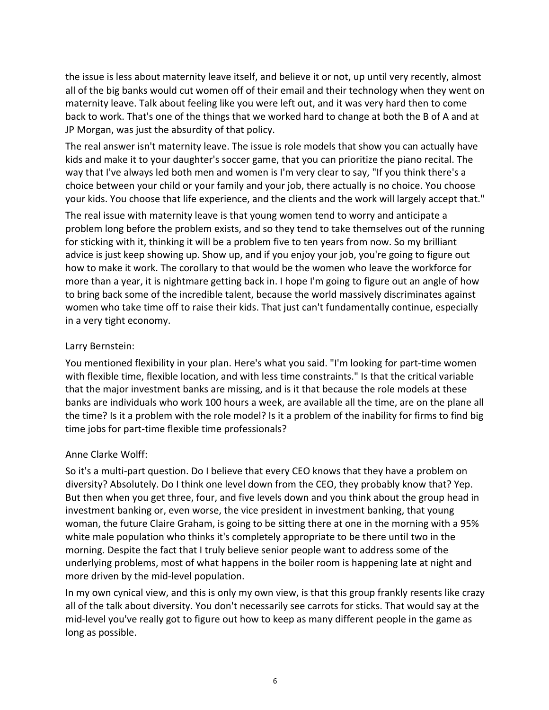the issue is less about maternity leave itself, and believe it or not, up until very recently, almost all of the big banks would cut women off of their email and their technology when they went on maternity leave. Talk about feeling like you were left out, and it was very hard then to come back to work. That's one of the things that we worked hard to change at both the B of A and at JP Morgan, was just the absurdity of that policy.

The real answer isn't maternity leave. The issue is role models that show you can actually have kids and make it to your daughter's soccer game, that you can prioritize the piano recital. The way that I've always led both men and women is I'm very clear to say, "If you think there's a choice between your child or your family and your job, there actually is no choice. You choose your kids. You choose that life experience, and the clients and the work will largely accept that."

The real issue with maternity leave is that young women tend to worry and anticipate a problem long before the problem exists, and so they tend to take themselves out of the running for sticking with it, thinking it will be a problem five to ten years from now. So my brilliant advice is just keep showing up. Show up, and if you enjoy your job, you're going to figure out how to make it work. The corollary to that would be the women who leave the workforce for more than a year, it is nightmare getting back in. I hope I'm going to figure out an angle of how to bring back some of the incredible talent, because the world massively discriminates against women who take time off to raise their kids. That just can't fundamentally continue, especially in a very tight economy.

# Larry Bernstein:

You mentioned flexibility in your plan. Here's what you said. "I'm looking for part-time women with flexible time, flexible location, and with less time constraints." Is that the critical variable that the major investment banks are missing, and is it that because the role models at these banks are individuals who work 100 hours a week, are available all the time, are on the plane all the time? Is it a problem with the role model? Is it a problem of the inability for firms to find big time jobs for part-time flexible time professionals?

# Anne Clarke Wolff:

So it's a multi-part question. Do I believe that every CEO knows that they have a problem on diversity? Absolutely. Do I think one level down from the CEO, they probably know that? Yep. But then when you get three, four, and five levels down and you think about the group head in investment banking or, even worse, the vice president in investment banking, that young woman, the future Claire Graham, is going to be sitting there at one in the morning with a 95% white male population who thinks it's completely appropriate to be there until two in the morning. Despite the fact that I truly believe senior people want to address some of the underlying problems, most of what happens in the boiler room is happening late at night and more driven by the mid-level population.

In my own cynical view, and this is only my own view, is that this group frankly resents like crazy all of the talk about diversity. You don't necessarily see carrots for sticks. That would say at the mid-level you've really got to figure out how to keep as many different people in the game as long as possible.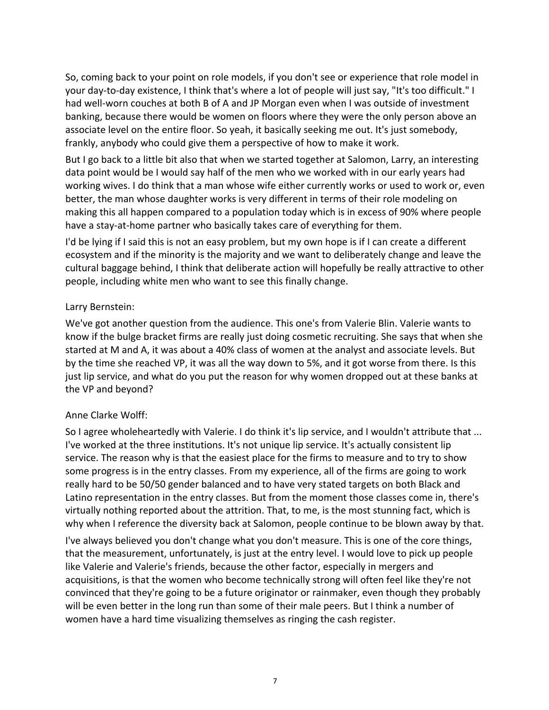So, coming back to your point on role models, if you don't see or experience that role model in your day-to-day existence, I think that's where a lot of people will just say, "It's too difficult." I had well-worn couches at both B of A and JP Morgan even when I was outside of investment banking, because there would be women on floors where they were the only person above an associate level on the entire floor. So yeah, it basically seeking me out. It's just somebody, frankly, anybody who could give them a perspective of how to make it work.

But I go back to a little bit also that when we started together at Salomon, Larry, an interesting data point would be I would say half of the men who we worked with in our early years had working wives. I do think that a man whose wife either currently works or used to work or, even better, the man whose daughter works is very different in terms of their role modeling on making this all happen compared to a population today which is in excess of 90% where people have a stay-at-home partner who basically takes care of everything for them.

I'd be lying if I said this is not an easy problem, but my own hope is if I can create a different ecosystem and if the minority is the majority and we want to deliberately change and leave the cultural baggage behind, I think that deliberate action will hopefully be really attractive to other people, including white men who want to see this finally change.

#### Larry Bernstein:

We've got another question from the audience. This one's from Valerie Blin. Valerie wants to know if the bulge bracket firms are really just doing cosmetic recruiting. She says that when she started at M and A, it was about a 40% class of women at the analyst and associate levels. But by the time she reached VP, it was all the way down to 5%, and it got worse from there. Is this just lip service, and what do you put the reason for why women dropped out at these banks at the VP and beyond?

# Anne Clarke Wolff:

So I agree wholeheartedly with Valerie. I do think it's lip service, and I wouldn't attribute that ... I've worked at the three institutions. It's not unique lip service. It's actually consistent lip service. The reason why is that the easiest place for the firms to measure and to try to show some progress is in the entry classes. From my experience, all of the firms are going to work really hard to be 50/50 gender balanced and to have very stated targets on both Black and Latino representation in the entry classes. But from the moment those classes come in, there's virtually nothing reported about the attrition. That, to me, is the most stunning fact, which is why when I reference the diversity back at Salomon, people continue to be blown away by that.

I've always believed you don't change what you don't measure. This is one of the core things, that the measurement, unfortunately, is just at the entry level. I would love to pick up people like Valerie and Valerie's friends, because the other factor, especially in mergers and acquisitions, is that the women who become technically strong will often feel like they're not convinced that they're going to be a future originator or rainmaker, even though they probably will be even better in the long run than some of their male peers. But I think a number of women have a hard time visualizing themselves as ringing the cash register.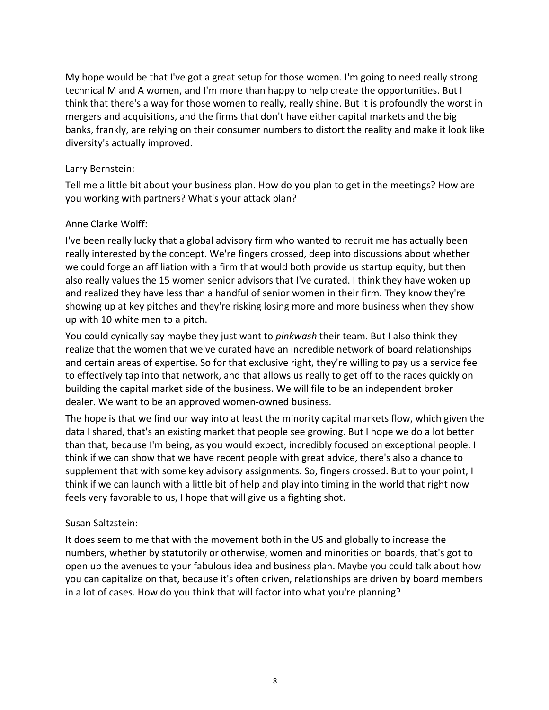My hope would be that I've got a great setup for those women. I'm going to need really strong technical M and A women, and I'm more than happy to help create the opportunities. But I think that there's a way for those women to really, really shine. But it is profoundly the worst in mergers and acquisitions, and the firms that don't have either capital markets and the big banks, frankly, are relying on their consumer numbers to distort the reality and make it look like diversity's actually improved.

#### Larry Bernstein:

Tell me a little bit about your business plan. How do you plan to get in the meetings? How are you working with partners? What's your attack plan?

#### Anne Clarke Wolff:

I've been really lucky that a global advisory firm who wanted to recruit me has actually been really interested by the concept. We're fingers crossed, deep into discussions about whether we could forge an affiliation with a firm that would both provide us startup equity, but then also really values the 15 women senior advisors that I've curated. I think they have woken up and realized they have less than a handful of senior women in their firm. They know they're showing up at key pitches and they're risking losing more and more business when they show up with 10 white men to a pitch.

You could cynically say maybe they just want to *pinkwash* their team. But I also think they realize that the women that we've curated have an incredible network of board relationships and certain areas of expertise. So for that exclusive right, they're willing to pay us a service fee to effectively tap into that network, and that allows us really to get off to the races quickly on building the capital market side of the business. We will file to be an independent broker dealer. We want to be an approved women-owned business.

The hope is that we find our way into at least the minority capital markets flow, which given the data I shared, that's an existing market that people see growing. But I hope we do a lot better than that, because I'm being, as you would expect, incredibly focused on exceptional people. I think if we can show that we have recent people with great advice, there's also a chance to supplement that with some key advisory assignments. So, fingers crossed. But to your point, I think if we can launch with a little bit of help and play into timing in the world that right now feels very favorable to us, I hope that will give us a fighting shot.

# Susan Saltzstein:

It does seem to me that with the movement both in the US and globally to increase the numbers, whether by statutorily or otherwise, women and minorities on boards, that's got to open up the avenues to your fabulous idea and business plan. Maybe you could talk about how you can capitalize on that, because it's often driven, relationships are driven by board members in a lot of cases. How do you think that will factor into what you're planning?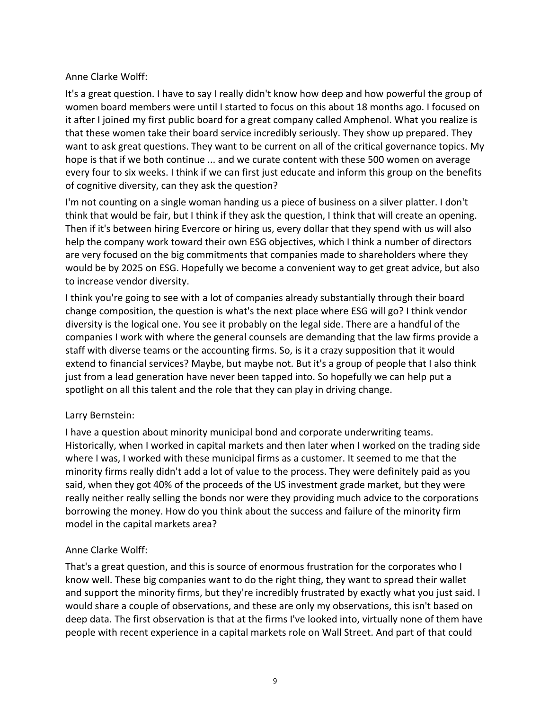#### Anne Clarke Wolff:

It's a great question. I have to say I really didn't know how deep and how powerful the group of women board members were until I started to focus on this about 18 months ago. I focused on it after I joined my first public board for a great company called Amphenol. What you realize is that these women take their board service incredibly seriously. They show up prepared. They want to ask great questions. They want to be current on all of the critical governance topics. My hope is that if we both continue ... and we curate content with these 500 women on average every four to six weeks. I think if we can first just educate and inform this group on the benefits of cognitive diversity, can they ask the question?

I'm not counting on a single woman handing us a piece of business on a silver platter. I don't think that would be fair, but I think if they ask the question, I think that will create an opening. Then if it's between hiring Evercore or hiring us, every dollar that they spend with us will also help the company work toward their own ESG objectives, which I think a number of directors are very focused on the big commitments that companies made to shareholders where they would be by 2025 on ESG. Hopefully we become a convenient way to get great advice, but also to increase vendor diversity.

I think you're going to see with a lot of companies already substantially through their board change composition, the question is what's the next place where ESG will go? I think vendor diversity is the logical one. You see it probably on the legal side. There are a handful of the companies I work with where the general counsels are demanding that the law firms provide a staff with diverse teams or the accounting firms. So, is it a crazy supposition that it would extend to financial services? Maybe, but maybe not. But it's a group of people that I also think just from a lead generation have never been tapped into. So hopefully we can help put a spotlight on all this talent and the role that they can play in driving change.

#### Larry Bernstein:

I have a question about minority municipal bond and corporate underwriting teams. Historically, when I worked in capital markets and then later when I worked on the trading side where I was, I worked with these municipal firms as a customer. It seemed to me that the minority firms really didn't add a lot of value to the process. They were definitely paid as you said, when they got 40% of the proceeds of the US investment grade market, but they were really neither really selling the bonds nor were they providing much advice to the corporations borrowing the money. How do you think about the success and failure of the minority firm model in the capital markets area?

# Anne Clarke Wolff:

That's a great question, and this is source of enormous frustration for the corporates who I know well. These big companies want to do the right thing, they want to spread their wallet and support the minority firms, but they're incredibly frustrated by exactly what you just said. I would share a couple of observations, and these are only my observations, this isn't based on deep data. The first observation is that at the firms I've looked into, virtually none of them have people with recent experience in a capital markets role on Wall Street. And part of that could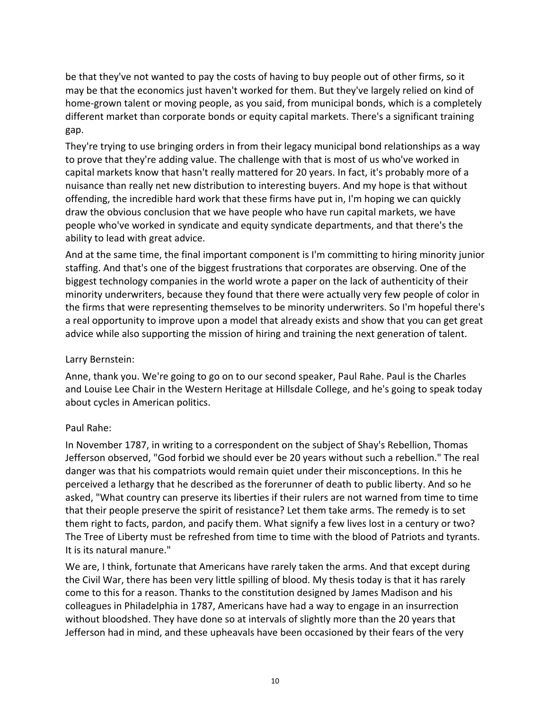be that they've not wanted to pay the costs of having to buy people out of other firms, so it may be that the economics just haven't worked for them. But they've largely relied on kind of home-grown talent or moving people, as you said, from municipal bonds, which is a completely different market than corporate bonds or equity capital markets. There's a significant training gap.

They're trying to use bringing orders in from their legacy municipal bond relationships as a way to prove that they're adding value. The challenge with that is most of us who've worked in capital markets know that hasn't really mattered for 20 years. In fact, it's probably more of a nuisance than really net new distribution to interesting buyers. And my hope is that without offending, the incredible hard work that these firms have put in, I'm hoping we can quickly draw the obvious conclusion that we have people who have run capital markets, we have people who've worked in syndicate and equity syndicate departments, and that there's the ability to lead with great advice.

And at the same time, the final important component is I'm committing to hiring minority junior staffing. And that's one of the biggest frustrations that corporates are observing. One of the biggest technology companies in the world wrote a paper on the lack of authenticity of their minority underwriters, because they found that there were actually very few people of color in the firms that were representing themselves to be minority underwriters. So I'm hopeful there's a real opportunity to improve upon a model that already exists and show that you can get great advice while also supporting the mission of hiring and training the next generation of talent.

# Larry Bernstein:

Anne, thank you. We're going to go on to our second speaker, Paul Rahe. Paul is the Charles and Louise Lee Chair in the Western Heritage at Hillsdale College, and he's going to speak today about cycles in American politics.

# Paul Rahe:

In November 1787, in writing to a correspondent on the subject of Shay's Rebellion, Thomas Jefferson observed, "God forbid we should ever be 20 years without such a rebellion." The real danger was that his compatriots would remain quiet under their misconceptions. In this he perceived a lethargy that he described as the forerunner of death to public liberty. And so he asked, "What country can preserve its liberties if their rulers are not warned from time to time that their people preserve the spirit of resistance? Let them take arms. The remedy is to set them right to facts, pardon, and pacify them. What signify a few lives lost in a century or two? The Tree of Liberty must be refreshed from time to time with the blood of Patriots and tyrants. It is its natural manure."

We are, I think, fortunate that Americans have rarely taken the arms. And that except during the Civil War, there has been very little spilling of blood. My thesis today is that it has rarely come to this for a reason. Thanks to the constitution designed by James Madison and his colleagues in Philadelphia in 1787, Americans have had a way to engage in an insurrection without bloodshed. They have done so at intervals of slightly more than the 20 years that Jefferson had in mind, and these upheavals have been occasioned by their fears of the very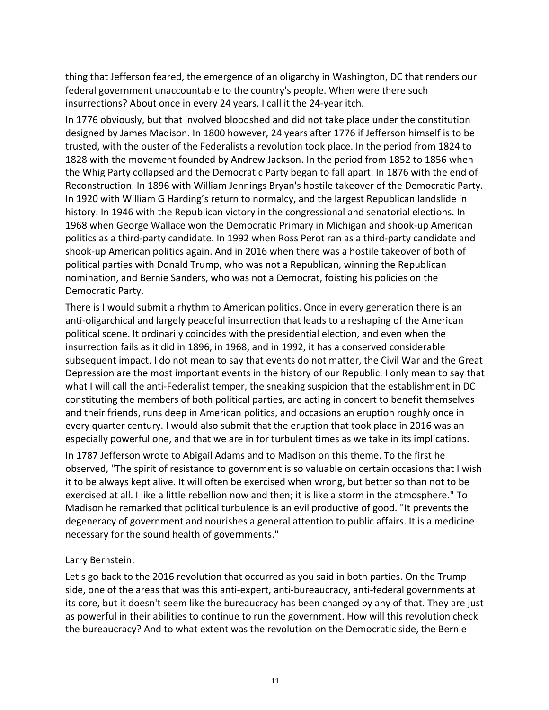thing that Jefferson feared, the emergence of an oligarchy in Washington, DC that renders our federal government unaccountable to the country's people. When were there such insurrections? About once in every 24 years, I call it the 24-year itch.

In 1776 obviously, but that involved bloodshed and did not take place under the constitution designed by James Madison. In 1800 however, 24 years after 1776 if Jefferson himself is to be trusted, with the ouster of the Federalists a revolution took place. In the period from 1824 to 1828 with the movement founded by Andrew Jackson. In the period from 1852 to 1856 when the Whig Party collapsed and the Democratic Party began to fall apart. In 1876 with the end of Reconstruction. In 1896 with William Jennings Bryan's hostile takeover of the Democratic Party. In 1920 with William G Harding's return to normalcy, and the largest Republican landslide in history. In 1946 with the Republican victory in the congressional and senatorial elections. In 1968 when George Wallace won the Democratic Primary in Michigan and shook-up American politics as a third-party candidate. In 1992 when Ross Perot ran as a third-party candidate and shook-up American politics again. And in 2016 when there was a hostile takeover of both of political parties with Donald Trump, who was not a Republican, winning the Republican nomination, and Bernie Sanders, who was not a Democrat, foisting his policies on the Democratic Party.

There is I would submit a rhythm to American politics. Once in every generation there is an anti-oligarchical and largely peaceful insurrection that leads to a reshaping of the American political scene. It ordinarily coincides with the presidential election, and even when the insurrection fails as it did in 1896, in 1968, and in 1992, it has a conserved considerable subsequent impact. I do not mean to say that events do not matter, the Civil War and the Great Depression are the most important events in the history of our Republic. I only mean to say that what I will call the anti-Federalist temper, the sneaking suspicion that the establishment in DC constituting the members of both political parties, are acting in concert to benefit themselves and their friends, runs deep in American politics, and occasions an eruption roughly once in every quarter century. I would also submit that the eruption that took place in 2016 was an especially powerful one, and that we are in for turbulent times as we take in its implications.

In 1787 Jefferson wrote to Abigail Adams and to Madison on this theme. To the first he observed, "The spirit of resistance to government is so valuable on certain occasions that I wish it to be always kept alive. It will often be exercised when wrong, but better so than not to be exercised at all. I like a little rebellion now and then; it is like a storm in the atmosphere." To Madison he remarked that political turbulence is an evil productive of good. "It prevents the degeneracy of government and nourishes a general attention to public affairs. It is a medicine necessary for the sound health of governments."

#### Larry Bernstein:

Let's go back to the 2016 revolution that occurred as you said in both parties. On the Trump side, one of the areas that was this anti-expert, anti-bureaucracy, anti-federal governments at its core, but it doesn't seem like the bureaucracy has been changed by any of that. They are just as powerful in their abilities to continue to run the government. How will this revolution check the bureaucracy? And to what extent was the revolution on the Democratic side, the Bernie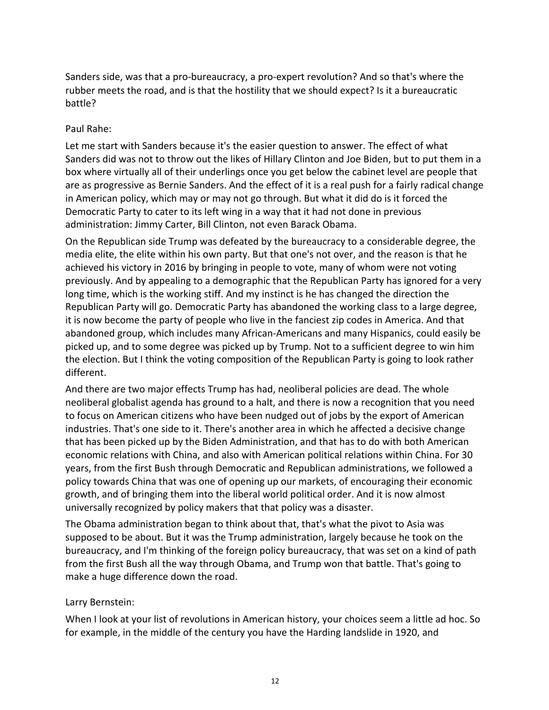Sanders side, was that a pro-bureaucracy, a pro-expert revolution? And so that's where the rubber meets the road, and is that the hostility that we should expect? Is it a bureaucratic battle?

#### Paul Rahe:

Let me start with Sanders because it's the easier question to answer. The effect of what Sanders did was not to throw out the likes of Hillary Clinton and Joe Biden, but to put them in a box where virtually all of their underlings once you get below the cabinet level are people that are as progressive as Bernie Sanders. And the effect of it is a real push for a fairly radical change in American policy, which may or may not go through. But what it did do is it forced the Democratic Party to cater to its left wing in a way that it had not done in previous administration: Jimmy Carter, Bill Clinton, not even Barack Obama.

On the Republican side Trump was defeated by the bureaucracy to a considerable degree, the media elite, the elite within his own party. But that one's not over, and the reason is that he achieved his victory in 2016 by bringing in people to vote, many of whom were not voting previously. And by appealing to a demographic that the Republican Party has ignored for a very long time, which is the working stiff. And my instinct is he has changed the direction the Republican Party will go. Democratic Party has abandoned the working class to a large degree, it is now become the party of people who live in the fanciest zip codes in America. And that abandoned group, which includes many African-Americans and many Hispanics, could easily be picked up, and to some degree was picked up by Trump. Not to a sufficient degree to win him the election. But I think the voting composition of the Republican Party is going to look rather different.

And there are two major effects Trump has had, neoliberal policies are dead. The whole neoliberal globalist agenda has ground to a halt, and there is now a recognition that you need to focus on American citizens who have been nudged out of jobs by the export of American industries. That's one side to it. There's another area in which he affected a decisive change that has been picked up by the Biden Administration, and that has to do with both American economic relations with China, and also with American political relations within China. For 30 years, from the first Bush through Democratic and Republican administrations, we followed a policy towards China that was one of opening up our markets, of encouraging their economic growth, and of bringing them into the liberal world political order. And it is now almost universally recognized by policy makers that that policy was a disaster.

The Obama administration began to think about that, that's what the pivot to Asia was supposed to be about. But it was the Trump administration, largely because he took on the bureaucracy, and I'm thinking of the foreign policy bureaucracy, that was set on a kind of path from the first Bush all the way through Obama, and Trump won that battle. That's going to make a huge difference down the road.

# Larry Bernstein:

When I look at your list of revolutions in American history, your choices seem a little ad hoc. So for example, in the middle of the century you have the Harding landslide in 1920, and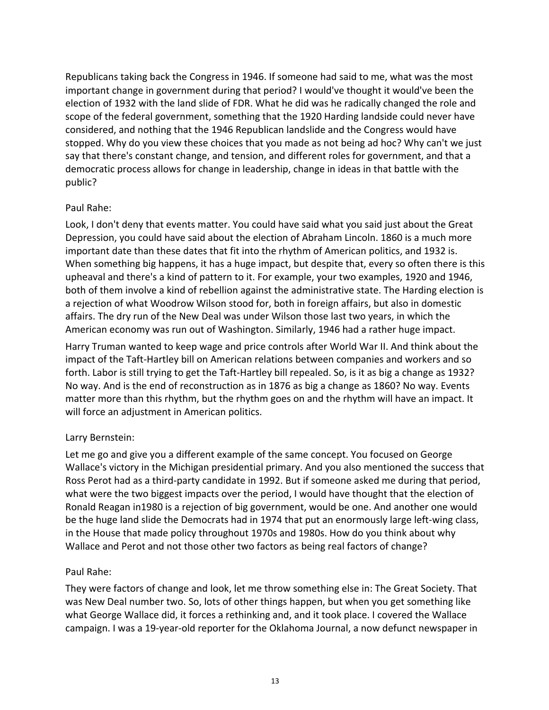Republicans taking back the Congress in 1946. If someone had said to me, what was the most important change in government during that period? I would've thought it would've been the election of 1932 with the land slide of FDR. What he did was he radically changed the role and scope of the federal government, something that the 1920 Harding landside could never have considered, and nothing that the 1946 Republican landslide and the Congress would have stopped. Why do you view these choices that you made as not being ad hoc? Why can't we just say that there's constant change, and tension, and different roles for government, and that a democratic process allows for change in leadership, change in ideas in that battle with the public?

#### Paul Rahe:

Look, I don't deny that events matter. You could have said what you said just about the Great Depression, you could have said about the election of Abraham Lincoln. 1860 is a much more important date than these dates that fit into the rhythm of American politics, and 1932 is. When something big happens, it has a huge impact, but despite that, every so often there is this upheaval and there's a kind of pattern to it. For example, your two examples, 1920 and 1946, both of them involve a kind of rebellion against the administrative state. The Harding election is a rejection of what Woodrow Wilson stood for, both in foreign affairs, but also in domestic affairs. The dry run of the New Deal was under Wilson those last two years, in which the American economy was run out of Washington. Similarly, 1946 had a rather huge impact.

Harry Truman wanted to keep wage and price controls after World War II. And think about the impact of the Taft-Hartley bill on American relations between companies and workers and so forth. Labor is still trying to get the Taft-Hartley bill repealed. So, is it as big a change as 1932? No way. And is the end of reconstruction as in 1876 as big a change as 1860? No way. Events matter more than this rhythm, but the rhythm goes on and the rhythm will have an impact. It will force an adjustment in American politics.

# Larry Bernstein:

Let me go and give you a different example of the same concept. You focused on George Wallace's victory in the Michigan presidential primary. And you also mentioned the success that Ross Perot had as a third-party candidate in 1992. But if someone asked me during that period, what were the two biggest impacts over the period, I would have thought that the election of Ronald Reagan in1980 is a rejection of big government, would be one. And another one would be the huge land slide the Democrats had in 1974 that put an enormously large left-wing class, in the House that made policy throughout 1970s and 1980s. How do you think about why Wallace and Perot and not those other two factors as being real factors of change?

# Paul Rahe:

They were factors of change and look, let me throw something else in: The Great Society. That was New Deal number two. So, lots of other things happen, but when you get something like what George Wallace did, it forces a rethinking and, and it took place. I covered the Wallace campaign. I was a 19-year-old reporter for the Oklahoma Journal, a now defunct newspaper in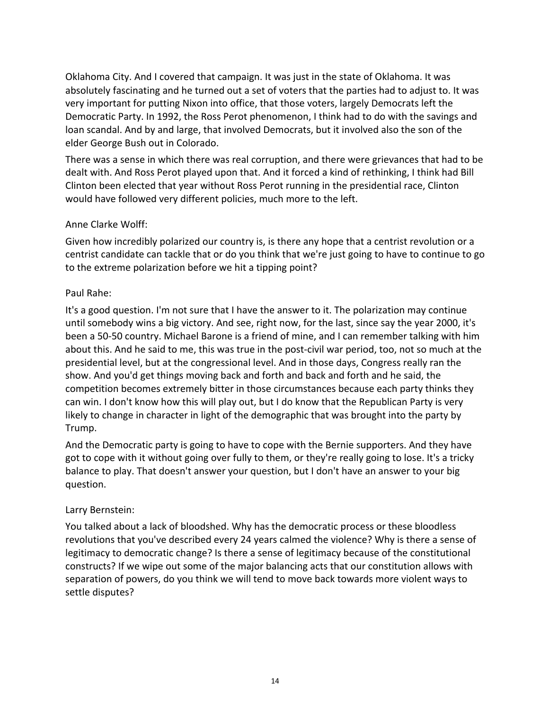Oklahoma City. And I covered that campaign. It was just in the state of Oklahoma. It was absolutely fascinating and he turned out a set of voters that the parties had to adjust to. It was very important for putting Nixon into office, that those voters, largely Democrats left the Democratic Party. In 1992, the Ross Perot phenomenon, I think had to do with the savings and loan scandal. And by and large, that involved Democrats, but it involved also the son of the elder George Bush out in Colorado.

There was a sense in which there was real corruption, and there were grievances that had to be dealt with. And Ross Perot played upon that. And it forced a kind of rethinking, I think had Bill Clinton been elected that year without Ross Perot running in the presidential race, Clinton would have followed very different policies, much more to the left.

# Anne Clarke Wolff:

Given how incredibly polarized our country is, is there any hope that a centrist revolution or a centrist candidate can tackle that or do you think that we're just going to have to continue to go to the extreme polarization before we hit a tipping point?

#### Paul Rahe:

It's a good question. I'm not sure that I have the answer to it. The polarization may continue until somebody wins a big victory. And see, right now, for the last, since say the year 2000, it's been a 50-50 country. Michael Barone is a friend of mine, and I can remember talking with him about this. And he said to me, this was true in the post-civil war period, too, not so much at the presidential level, but at the congressional level. And in those days, Congress really ran the show. And you'd get things moving back and forth and back and forth and he said, the competition becomes extremely bitter in those circumstances because each party thinks they can win. I don't know how this will play out, but I do know that the Republican Party is very likely to change in character in light of the demographic that was brought into the party by Trump.

And the Democratic party is going to have to cope with the Bernie supporters. And they have got to cope with it without going over fully to them, or they're really going to lose. It's a tricky balance to play. That doesn't answer your question, but I don't have an answer to your big question.

# Larry Bernstein:

You talked about a lack of bloodshed. Why has the democratic process or these bloodless revolutions that you've described every 24 years calmed the violence? Why is there a sense of legitimacy to democratic change? Is there a sense of legitimacy because of the constitutional constructs? If we wipe out some of the major balancing acts that our constitution allows with separation of powers, do you think we will tend to move back towards more violent ways to settle disputes?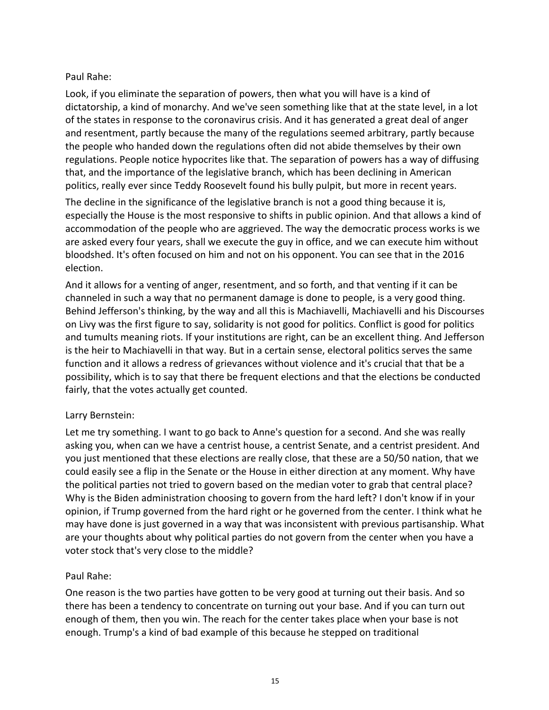# Paul Rahe:

Look, if you eliminate the separation of powers, then what you will have is a kind of dictatorship, a kind of monarchy. And we've seen something like that at the state level, in a lot of the states in response to the coronavirus crisis. And it has generated a great deal of anger and resentment, partly because the many of the regulations seemed arbitrary, partly because the people who handed down the regulations often did not abide themselves by their own regulations. People notice hypocrites like that. The separation of powers has a way of diffusing that, and the importance of the legislative branch, which has been declining in American politics, really ever since Teddy Roosevelt found his bully pulpit, but more in recent years.

The decline in the significance of the legislative branch is not a good thing because it is, especially the House is the most responsive to shifts in public opinion. And that allows a kind of accommodation of the people who are aggrieved. The way the democratic process works is we are asked every four years, shall we execute the guy in office, and we can execute him without bloodshed. It's often focused on him and not on his opponent. You can see that in the 2016 election.

And it allows for a venting of anger, resentment, and so forth, and that venting if it can be channeled in such a way that no permanent damage is done to people, is a very good thing. Behind Jefferson's thinking, by the way and all this is Machiavelli, Machiavelli and his Discourses on Livy was the first figure to say, solidarity is not good for politics. Conflict is good for politics and tumults meaning riots. If your institutions are right, can be an excellent thing. And Jefferson is the heir to Machiavelli in that way. But in a certain sense, electoral politics serves the same function and it allows a redress of grievances without violence and it's crucial that that be a possibility, which is to say that there be frequent elections and that the elections be conducted fairly, that the votes actually get counted.

# Larry Bernstein:

Let me try something. I want to go back to Anne's question for a second. And she was really asking you, when can we have a centrist house, a centrist Senate, and a centrist president. And you just mentioned that these elections are really close, that these are a 50/50 nation, that we could easily see a flip in the Senate or the House in either direction at any moment. Why have the political parties not tried to govern based on the median voter to grab that central place? Why is the Biden administration choosing to govern from the hard left? I don't know if in your opinion, if Trump governed from the hard right or he governed from the center. I think what he may have done is just governed in a way that was inconsistent with previous partisanship. What are your thoughts about why political parties do not govern from the center when you have a voter stock that's very close to the middle?

# Paul Rahe:

One reason is the two parties have gotten to be very good at turning out their basis. And so there has been a tendency to concentrate on turning out your base. And if you can turn out enough of them, then you win. The reach for the center takes place when your base is not enough. Trump's a kind of bad example of this because he stepped on traditional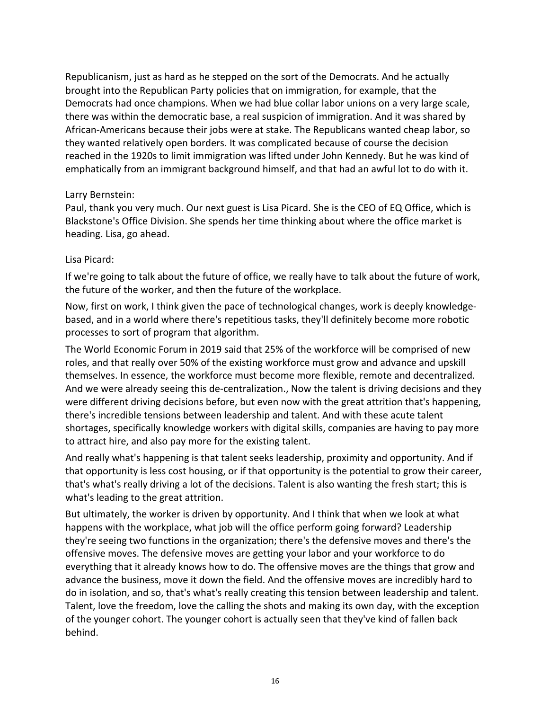Republicanism, just as hard as he stepped on the sort of the Democrats. And he actually brought into the Republican Party policies that on immigration, for example, that the Democrats had once champions. When we had blue collar labor unions on a very large scale, there was within the democratic base, a real suspicion of immigration. And it was shared by African-Americans because their jobs were at stake. The Republicans wanted cheap labor, so they wanted relatively open borders. It was complicated because of course the decision reached in the 1920s to limit immigration was lifted under John Kennedy. But he was kind of emphatically from an immigrant background himself, and that had an awful lot to do with it.

#### Larry Bernstein:

Paul, thank you very much. Our next guest is Lisa Picard. She is the CEO of EQ Office, which is Blackstone's Office Division. She spends her time thinking about where the office market is heading. Lisa, go ahead.

#### Lisa Picard:

If we're going to talk about the future of office, we really have to talk about the future of work, the future of the worker, and then the future of the workplace.

Now, first on work, I think given the pace of technological changes, work is deeply knowledgebased, and in a world where there's repetitious tasks, they'll definitely become more robotic processes to sort of program that algorithm.

The World Economic Forum in 2019 said that 25% of the workforce will be comprised of new roles, and that really over 50% of the existing workforce must grow and advance and upskill themselves. In essence, the workforce must become more flexible, remote and decentralized. And we were already seeing this de-centralization., Now the talent is driving decisions and they were different driving decisions before, but even now with the great attrition that's happening, there's incredible tensions between leadership and talent. And with these acute talent shortages, specifically knowledge workers with digital skills, companies are having to pay more to attract hire, and also pay more for the existing talent.

And really what's happening is that talent seeks leadership, proximity and opportunity. And if that opportunity is less cost housing, or if that opportunity is the potential to grow their career, that's what's really driving a lot of the decisions. Talent is also wanting the fresh start; this is what's leading to the great attrition.

But ultimately, the worker is driven by opportunity. And I think that when we look at what happens with the workplace, what job will the office perform going forward? Leadership they're seeing two functions in the organization; there's the defensive moves and there's the offensive moves. The defensive moves are getting your labor and your workforce to do everything that it already knows how to do. The offensive moves are the things that grow and advance the business, move it down the field. And the offensive moves are incredibly hard to do in isolation, and so, that's what's really creating this tension between leadership and talent. Talent, love the freedom, love the calling the shots and making its own day, with the exception of the younger cohort. The younger cohort is actually seen that they've kind of fallen back behind.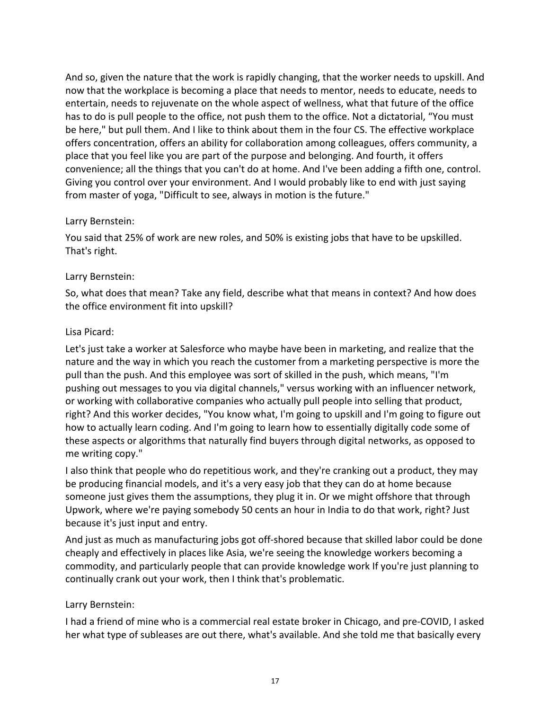And so, given the nature that the work is rapidly changing, that the worker needs to upskill. And now that the workplace is becoming a place that needs to mentor, needs to educate, needs to entertain, needs to rejuvenate on the whole aspect of wellness, what that future of the office has to do is pull people to the office, not push them to the office. Not a dictatorial, "You must be here," but pull them. And I like to think about them in the four CS. The effective workplace offers concentration, offers an ability for collaboration among colleagues, offers community, a place that you feel like you are part of the purpose and belonging. And fourth, it offers convenience; all the things that you can't do at home. And I've been adding a fifth one, control. Giving you control over your environment. And I would probably like to end with just saying from master of yoga, "Difficult to see, always in motion is the future."

# Larry Bernstein:

You said that 25% of work are new roles, and 50% is existing jobs that have to be upskilled. That's right.

# Larry Bernstein:

So, what does that mean? Take any field, describe what that means in context? And how does the office environment fit into upskill?

#### Lisa Picard:

Let's just take a worker at Salesforce who maybe have been in marketing, and realize that the nature and the way in which you reach the customer from a marketing perspective is more the pull than the push. And this employee was sort of skilled in the push, which means, "I'm pushing out messages to you via digital channels," versus working with an influencer network, or working with collaborative companies who actually pull people into selling that product, right? And this worker decides, "You know what, I'm going to upskill and I'm going to figure out how to actually learn coding. And I'm going to learn how to essentially digitally code some of these aspects or algorithms that naturally find buyers through digital networks, as opposed to me writing copy."

I also think that people who do repetitious work, and they're cranking out a product, they may be producing financial models, and it's a very easy job that they can do at home because someone just gives them the assumptions, they plug it in. Or we might offshore that through Upwork, where we're paying somebody 50 cents an hour in India to do that work, right? Just because it's just input and entry.

And just as much as manufacturing jobs got off-shored because that skilled labor could be done cheaply and effectively in places like Asia, we're seeing the knowledge workers becoming a commodity, and particularly people that can provide knowledge work If you're just planning to continually crank out your work, then I think that's problematic.

# Larry Bernstein:

I had a friend of mine who is a commercial real estate broker in Chicago, and pre-COVID, I asked her what type of subleases are out there, what's available. And she told me that basically every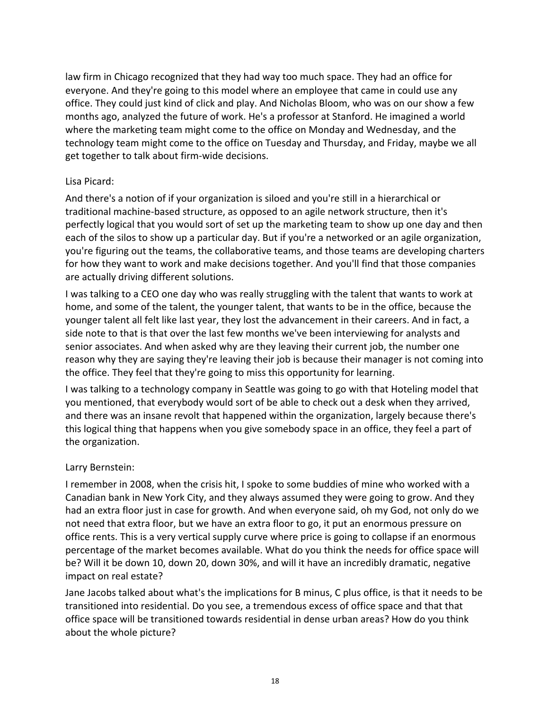law firm in Chicago recognized that they had way too much space. They had an office for everyone. And they're going to this model where an employee that came in could use any office. They could just kind of click and play. And Nicholas Bloom, who was on our show a few months ago, analyzed the future of work. He's a professor at Stanford. He imagined a world where the marketing team might come to the office on Monday and Wednesday, and the technology team might come to the office on Tuesday and Thursday, and Friday, maybe we all get together to talk about firm-wide decisions.

#### Lisa Picard:

And there's a notion of if your organization is siloed and you're still in a hierarchical or traditional machine-based structure, as opposed to an agile network structure, then it's perfectly logical that you would sort of set up the marketing team to show up one day and then each of the silos to show up a particular day. But if you're a networked or an agile organization, you're figuring out the teams, the collaborative teams, and those teams are developing charters for how they want to work and make decisions together. And you'll find that those companies are actually driving different solutions.

I was talking to a CEO one day who was really struggling with the talent that wants to work at home, and some of the talent, the younger talent, that wants to be in the office, because the younger talent all felt like last year, they lost the advancement in their careers. And in fact, a side note to that is that over the last few months we've been interviewing for analysts and senior associates. And when asked why are they leaving their current job, the number one reason why they are saying they're leaving their job is because their manager is not coming into the office. They feel that they're going to miss this opportunity for learning.

I was talking to a technology company in Seattle was going to go with that Hoteling model that you mentioned, that everybody would sort of be able to check out a desk when they arrived, and there was an insane revolt that happened within the organization, largely because there's this logical thing that happens when you give somebody space in an office, they feel a part of the organization.

# Larry Bernstein:

I remember in 2008, when the crisis hit, I spoke to some buddies of mine who worked with a Canadian bank in New York City, and they always assumed they were going to grow. And they had an extra floor just in case for growth. And when everyone said, oh my God, not only do we not need that extra floor, but we have an extra floor to go, it put an enormous pressure on office rents. This is a very vertical supply curve where price is going to collapse if an enormous percentage of the market becomes available. What do you think the needs for office space will be? Will it be down 10, down 20, down 30%, and will it have an incredibly dramatic, negative impact on real estate?

Jane Jacobs talked about what's the implications for B minus, C plus office, is that it needs to be transitioned into residential. Do you see, a tremendous excess of office space and that that office space will be transitioned towards residential in dense urban areas? How do you think about the whole picture?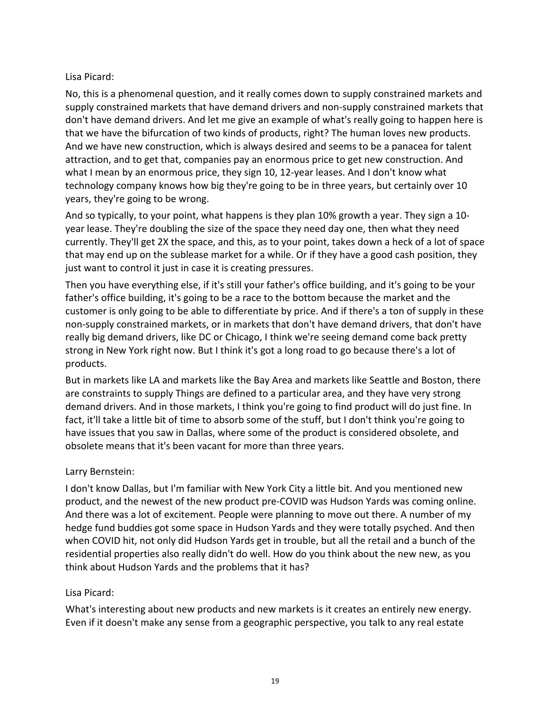#### Lisa Picard:

No, this is a phenomenal question, and it really comes down to supply constrained markets and supply constrained markets that have demand drivers and non-supply constrained markets that don't have demand drivers. And let me give an example of what's really going to happen here is that we have the bifurcation of two kinds of products, right? The human loves new products. And we have new construction, which is always desired and seems to be a panacea for talent attraction, and to get that, companies pay an enormous price to get new construction. And what I mean by an enormous price, they sign 10, 12-year leases. And I don't know what technology company knows how big they're going to be in three years, but certainly over 10 years, they're going to be wrong.

And so typically, to your point, what happens is they plan 10% growth a year. They sign a 10 year lease. They're doubling the size of the space they need day one, then what they need currently. They'll get 2X the space, and this, as to your point, takes down a heck of a lot of space that may end up on the sublease market for a while. Or if they have a good cash position, they just want to control it just in case it is creating pressures.

Then you have everything else, if it's still your father's office building, and it's going to be your father's office building, it's going to be a race to the bottom because the market and the customer is only going to be able to differentiate by price. And if there's a ton of supply in these non-supply constrained markets, or in markets that don't have demand drivers, that don't have really big demand drivers, like DC or Chicago, I think we're seeing demand come back pretty strong in New York right now. But I think it's got a long road to go because there's a lot of products.

But in markets like LA and markets like the Bay Area and markets like Seattle and Boston, there are constraints to supply Things are defined to a particular area, and they have very strong demand drivers. And in those markets, I think you're going to find product will do just fine. In fact, it'll take a little bit of time to absorb some of the stuff, but I don't think you're going to have issues that you saw in Dallas, where some of the product is considered obsolete, and obsolete means that it's been vacant for more than three years.

# Larry Bernstein:

I don't know Dallas, but I'm familiar with New York City a little bit. And you mentioned new product, and the newest of the new product pre-COVID was Hudson Yards was coming online. And there was a lot of excitement. People were planning to move out there. A number of my hedge fund buddies got some space in Hudson Yards and they were totally psyched. And then when COVID hit, not only did Hudson Yards get in trouble, but all the retail and a bunch of the residential properties also really didn't do well. How do you think about the new new, as you think about Hudson Yards and the problems that it has?

#### Lisa Picard:

What's interesting about new products and new markets is it creates an entirely new energy. Even if it doesn't make any sense from a geographic perspective, you talk to any real estate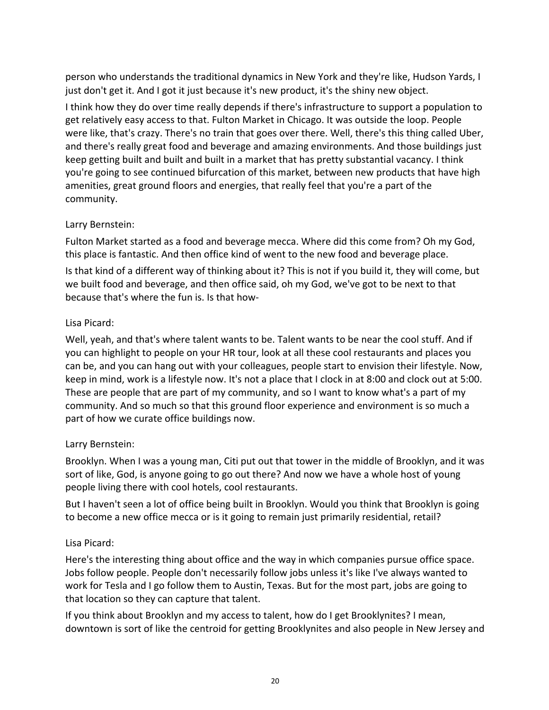person who understands the traditional dynamics in New York and they're like, Hudson Yards, I just don't get it. And I got it just because it's new product, it's the shiny new object.

I think how they do over time really depends if there's infrastructure to support a population to get relatively easy access to that. Fulton Market in Chicago. It was outside the loop. People were like, that's crazy. There's no train that goes over there. Well, there's this thing called Uber, and there's really great food and beverage and amazing environments. And those buildings just keep getting built and built and built in a market that has pretty substantial vacancy. I think you're going to see continued bifurcation of this market, between new products that have high amenities, great ground floors and energies, that really feel that you're a part of the community.

# Larry Bernstein:

Fulton Market started as a food and beverage mecca. Where did this come from? Oh my God, this place is fantastic. And then office kind of went to the new food and beverage place.

Is that kind of a different way of thinking about it? This is not if you build it, they will come, but we built food and beverage, and then office said, oh my God, we've got to be next to that because that's where the fun is. Is that how-

# Lisa Picard:

Well, yeah, and that's where talent wants to be. Talent wants to be near the cool stuff. And if you can highlight to people on your HR tour, look at all these cool restaurants and places you can be, and you can hang out with your colleagues, people start to envision their lifestyle. Now, keep in mind, work is a lifestyle now. It's not a place that I clock in at 8:00 and clock out at 5:00. These are people that are part of my community, and so I want to know what's a part of my community. And so much so that this ground floor experience and environment is so much a part of how we curate office buildings now.

# Larry Bernstein:

Brooklyn. When I was a young man, Citi put out that tower in the middle of Brooklyn, and it was sort of like, God, is anyone going to go out there? And now we have a whole host of young people living there with cool hotels, cool restaurants.

But I haven't seen a lot of office being built in Brooklyn. Would you think that Brooklyn is going to become a new office mecca or is it going to remain just primarily residential, retail?

# Lisa Picard:

Here's the interesting thing about office and the way in which companies pursue office space. Jobs follow people. People don't necessarily follow jobs unless it's like I've always wanted to work for Tesla and I go follow them to Austin, Texas. But for the most part, jobs are going to that location so they can capture that talent.

If you think about Brooklyn and my access to talent, how do I get Brooklynites? I mean, downtown is sort of like the centroid for getting Brooklynites and also people in New Jersey and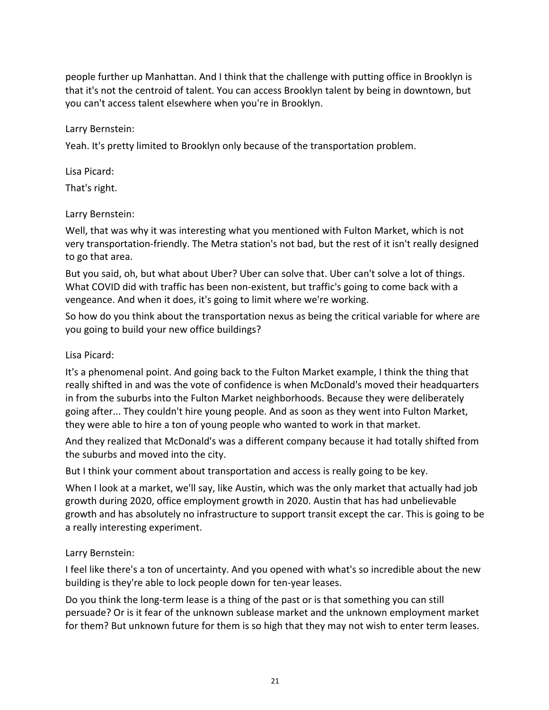people further up Manhattan. And I think that the challenge with putting office in Brooklyn is that it's not the centroid of talent. You can access Brooklyn talent by being in downtown, but you can't access talent elsewhere when you're in Brooklyn.

#### Larry Bernstein:

Yeah. It's pretty limited to Brooklyn only because of the transportation problem.

Lisa Picard:

That's right.

# Larry Bernstein:

Well, that was why it was interesting what you mentioned with Fulton Market, which is not very transportation-friendly. The Metra station's not bad, but the rest of it isn't really designed to go that area.

But you said, oh, but what about Uber? Uber can solve that. Uber can't solve a lot of things. What COVID did with traffic has been non-existent, but traffic's going to come back with a vengeance. And when it does, it's going to limit where we're working.

So how do you think about the transportation nexus as being the critical variable for where are you going to build your new office buildings?

# Lisa Picard:

It's a phenomenal point. And going back to the Fulton Market example, I think the thing that really shifted in and was the vote of confidence is when McDonald's moved their headquarters in from the suburbs into the Fulton Market neighborhoods. Because they were deliberately going after... They couldn't hire young people. And as soon as they went into Fulton Market, they were able to hire a ton of young people who wanted to work in that market.

And they realized that McDonald's was a different company because it had totally shifted from the suburbs and moved into the city.

But I think your comment about transportation and access is really going to be key.

When I look at a market, we'll say, like Austin, which was the only market that actually had job growth during 2020, office employment growth in 2020. Austin that has had unbelievable growth and has absolutely no infrastructure to support transit except the car. This is going to be a really interesting experiment.

# Larry Bernstein:

I feel like there's a ton of uncertainty. And you opened with what's so incredible about the new building is they're able to lock people down for ten-year leases.

Do you think the long-term lease is a thing of the past or is that something you can still persuade? Or is it fear of the unknown sublease market and the unknown employment market for them? But unknown future for them is so high that they may not wish to enter term leases.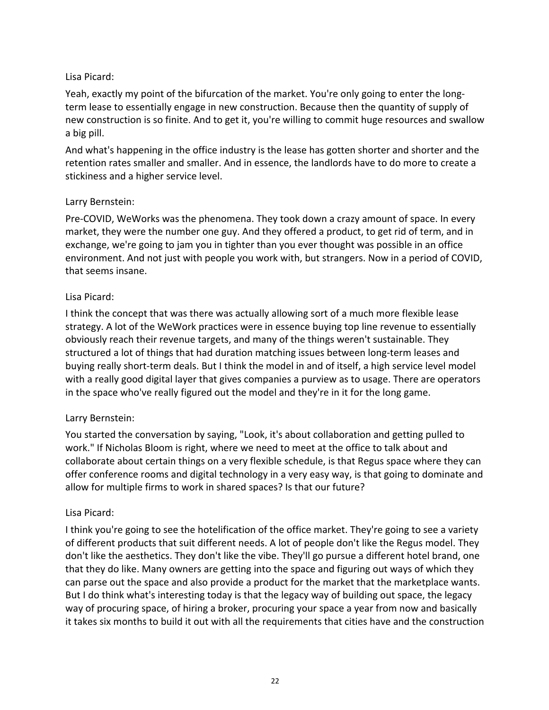# Lisa Picard:

Yeah, exactly my point of the bifurcation of the market. You're only going to enter the longterm lease to essentially engage in new construction. Because then the quantity of supply of new construction is so finite. And to get it, you're willing to commit huge resources and swallow a big pill.

And what's happening in the office industry is the lease has gotten shorter and shorter and the retention rates smaller and smaller. And in essence, the landlords have to do more to create a stickiness and a higher service level.

#### Larry Bernstein:

Pre-COVID, WeWorks was the phenomena. They took down a crazy amount of space. In every market, they were the number one guy. And they offered a product, to get rid of term, and in exchange, we're going to jam you in tighter than you ever thought was possible in an office environment. And not just with people you work with, but strangers. Now in a period of COVID, that seems insane.

#### Lisa Picard:

I think the concept that was there was actually allowing sort of a much more flexible lease strategy. A lot of the WeWork practices were in essence buying top line revenue to essentially obviously reach their revenue targets, and many of the things weren't sustainable. They structured a lot of things that had duration matching issues between long-term leases and buying really short-term deals. But I think the model in and of itself, a high service level model with a really good digital layer that gives companies a purview as to usage. There are operators in the space who've really figured out the model and they're in it for the long game.

# Larry Bernstein:

You started the conversation by saying, "Look, it's about collaboration and getting pulled to work." If Nicholas Bloom is right, where we need to meet at the office to talk about and collaborate about certain things on a very flexible schedule, is that Regus space where they can offer conference rooms and digital technology in a very easy way, is that going to dominate and allow for multiple firms to work in shared spaces? Is that our future?

#### Lisa Picard:

I think you're going to see the hotelification of the office market. They're going to see a variety of different products that suit different needs. A lot of people don't like the Regus model. They don't like the aesthetics. They don't like the vibe. They'll go pursue a different hotel brand, one that they do like. Many owners are getting into the space and figuring out ways of which they can parse out the space and also provide a product for the market that the marketplace wants. But I do think what's interesting today is that the legacy way of building out space, the legacy way of procuring space, of hiring a broker, procuring your space a year from now and basically it takes six months to build it out with all the requirements that cities have and the construction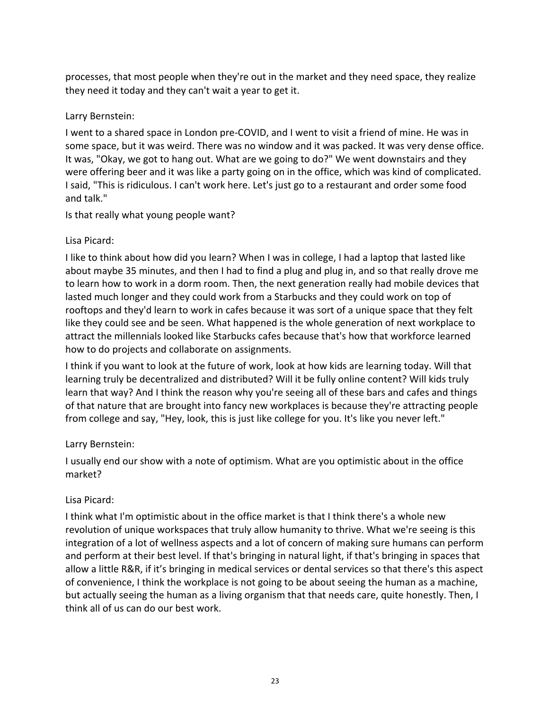processes, that most people when they're out in the market and they need space, they realize they need it today and they can't wait a year to get it.

#### Larry Bernstein:

I went to a shared space in London pre-COVID, and I went to visit a friend of mine. He was in some space, but it was weird. There was no window and it was packed. It was very dense office. It was, "Okay, we got to hang out. What are we going to do?" We went downstairs and they were offering beer and it was like a party going on in the office, which was kind of complicated. I said, "This is ridiculous. I can't work here. Let's just go to a restaurant and order some food and talk."

Is that really what young people want?

# Lisa Picard:

I like to think about how did you learn? When I was in college, I had a laptop that lasted like about maybe 35 minutes, and then I had to find a plug and plug in, and so that really drove me to learn how to work in a dorm room. Then, the next generation really had mobile devices that lasted much longer and they could work from a Starbucks and they could work on top of rooftops and they'd learn to work in cafes because it was sort of a unique space that they felt like they could see and be seen. What happened is the whole generation of next workplace to attract the millennials looked like Starbucks cafes because that's how that workforce learned how to do projects and collaborate on assignments.

I think if you want to look at the future of work, look at how kids are learning today. Will that learning truly be decentralized and distributed? Will it be fully online content? Will kids truly learn that way? And I think the reason why you're seeing all of these bars and cafes and things of that nature that are brought into fancy new workplaces is because they're attracting people from college and say, "Hey, look, this is just like college for you. It's like you never left."

# Larry Bernstein:

I usually end our show with a note of optimism. What are you optimistic about in the office market?

# Lisa Picard:

I think what I'm optimistic about in the office market is that I think there's a whole new revolution of unique workspaces that truly allow humanity to thrive. What we're seeing is this integration of a lot of wellness aspects and a lot of concern of making sure humans can perform and perform at their best level. If that's bringing in natural light, if that's bringing in spaces that allow a little R&R, if it's bringing in medical services or dental services so that there's this aspect of convenience, I think the workplace is not going to be about seeing the human as a machine, but actually seeing the human as a living organism that that needs care, quite honestly. Then, I think all of us can do our best work.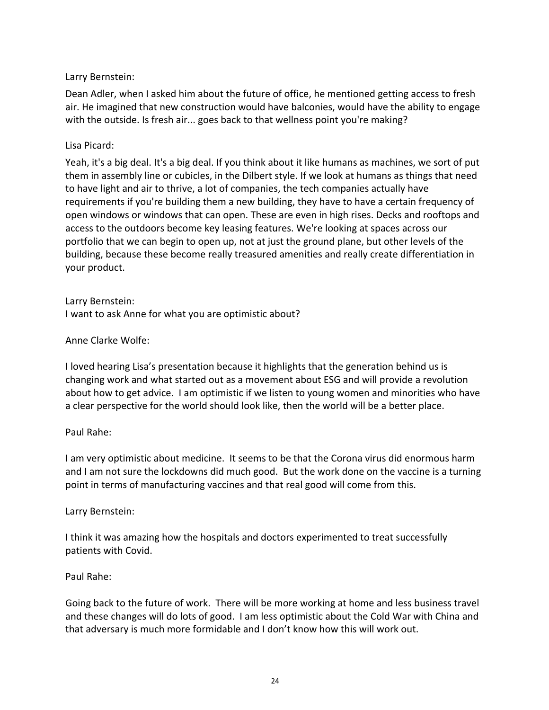#### Larry Bernstein:

Dean Adler, when I asked him about the future of office, he mentioned getting access to fresh air. He imagined that new construction would have balconies, would have the ability to engage with the outside. Is fresh air... goes back to that wellness point you're making?

#### Lisa Picard:

Yeah, it's a big deal. It's a big deal. If you think about it like humans as machines, we sort of put them in assembly line or cubicles, in the Dilbert style. If we look at humans as things that need to have light and air to thrive, a lot of companies, the tech companies actually have requirements if you're building them a new building, they have to have a certain frequency of open windows or windows that can open. These are even in high rises. Decks and rooftops and access to the outdoors become key leasing features. We're looking at spaces across our portfolio that we can begin to open up, not at just the ground plane, but other levels of the building, because these become really treasured amenities and really create differentiation in your product.

Larry Bernstein: I want to ask Anne for what you are optimistic about?

#### Anne Clarke Wolfe:

I loved hearing Lisa's presentation because it highlights that the generation behind us is changing work and what started out as a movement about ESG and will provide a revolution about how to get advice. I am optimistic if we listen to young women and minorities who have a clear perspective for the world should look like, then the world will be a better place.

#### Paul Rahe:

I am very optimistic about medicine. It seems to be that the Corona virus did enormous harm and I am not sure the lockdowns did much good. But the work done on the vaccine is a turning point in terms of manufacturing vaccines and that real good will come from this.

#### Larry Bernstein:

I think it was amazing how the hospitals and doctors experimented to treat successfully patients with Covid.

# Paul Rahe:

Going back to the future of work. There will be more working at home and less business travel and these changes will do lots of good. I am less optimistic about the Cold War with China and that adversary is much more formidable and I don't know how this will work out.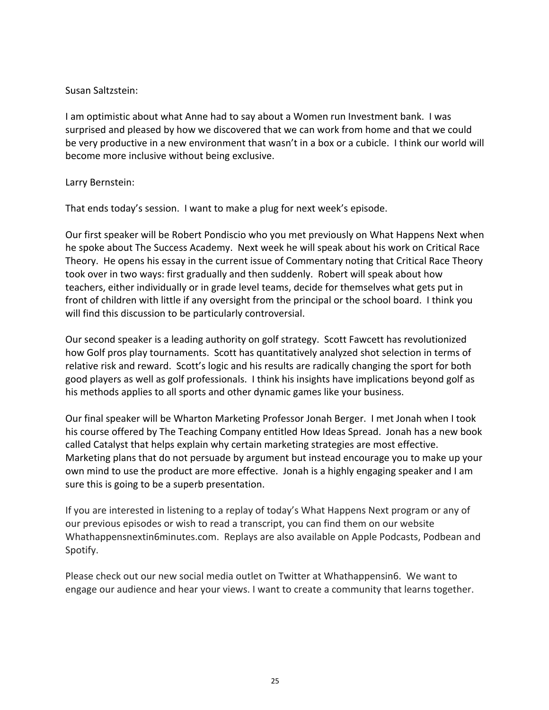#### Susan Saltzstein:

I am optimistic about what Anne had to say about a Women run Investment bank. I was surprised and pleased by how we discovered that we can work from home and that we could be very productive in a new environment that wasn't in a box or a cubicle. I think our world will become more inclusive without being exclusive.

#### Larry Bernstein:

That ends today's session. I want to make a plug for next week's episode.

Our first speaker will be Robert Pondiscio who you met previously on What Happens Next when he spoke about The Success Academy. Next week he will speak about his work on Critical Race Theory. He opens his essay in the current issue of Commentary noting that Critical Race Theory took over in two ways: first gradually and then suddenly. Robert will speak about how teachers, either individually or in grade level teams, decide for themselves what gets put in front of children with little if any oversight from the principal or the school board. I think you will find this discussion to be particularly controversial.

Our second speaker is a leading authority on golf strategy. Scott Fawcett has revolutionized how Golf pros play tournaments. Scott has quantitatively analyzed shot selection in terms of relative risk and reward. Scott's logic and his results are radically changing the sport for both good players as well as golf professionals. I think his insights have implications beyond golf as his methods applies to all sports and other dynamic games like your business.

Our final speaker will be Wharton Marketing Professor Jonah Berger. I met Jonah when I took his course offered by The Teaching Company entitled How Ideas Spread. Jonah has a new book called Catalyst that helps explain why certain marketing strategies are most effective. Marketing plans that do not persuade by argument but instead encourage you to make up your own mind to use the product are more effective. Jonah is a highly engaging speaker and I am sure this is going to be a superb presentation.

If you are interested in listening to a replay of today's What Happens Next program or any of our previous episodes or wish to read a transcript, you can find them on our website Whathappensnextin6minutes.com. Replays are also available on Apple Podcasts, Podbean and Spotify.

Please check out our new social media outlet on Twitter at Whathappensin6. We want to engage our audience and hear your views. I want to create a community that learns together.